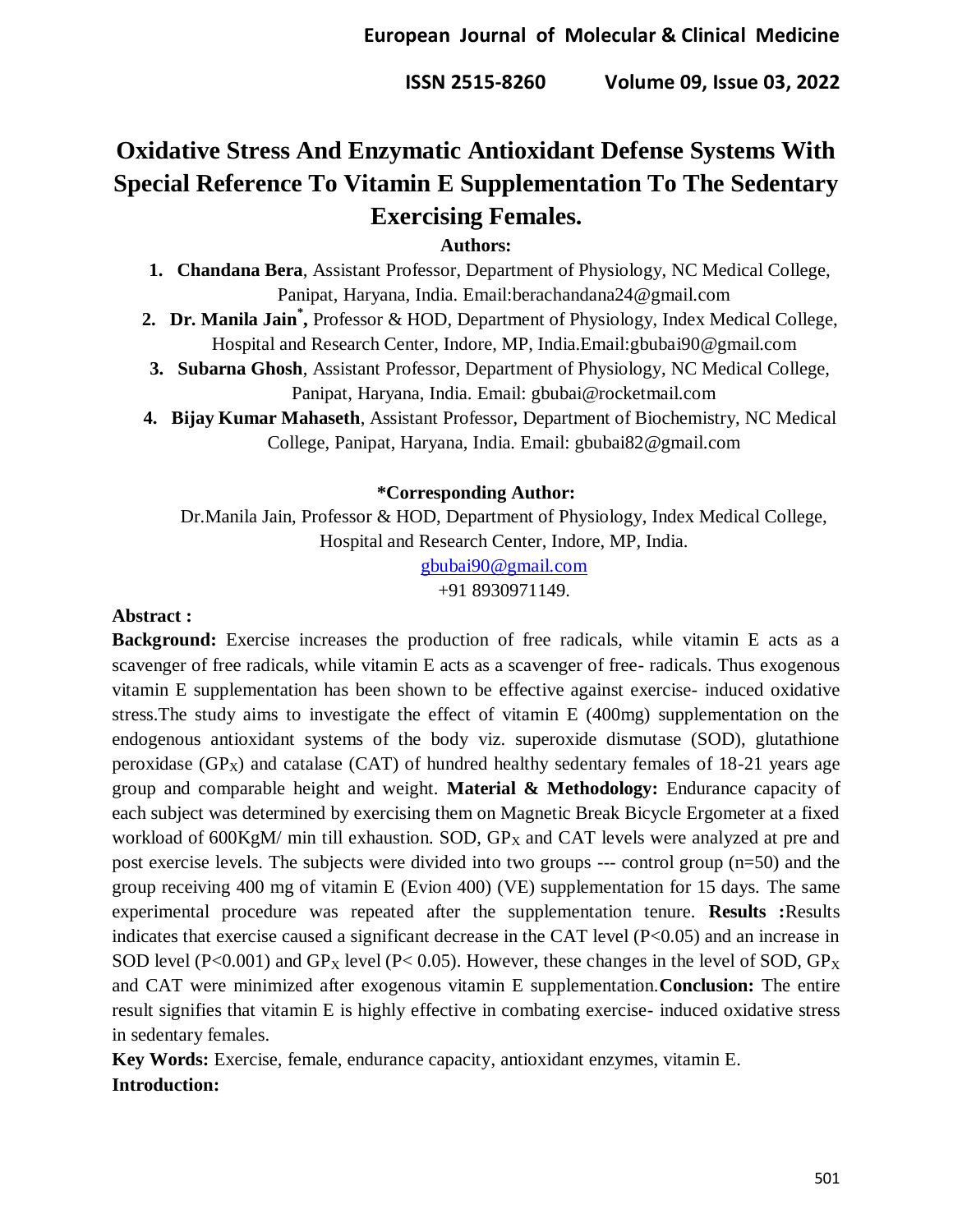# **Oxidative Stress And Enzymatic Antioxidant Defense Systems With Special Reference To Vitamin E Supplementation To The Sedentary Exercising Females.**

# **Authors:**

- **1. Chandana Bera**, Assistant Professor, Department of Physiology, NC Medical College, Panipat, Haryana, India. Email:berachandana24@gmail.com
- **2. Dr. Manila Jain\* ,** Professor & HOD, Department of Physiology, Index Medical College, Hospital and Research Center, Indore, MP, India.Email:gbubai90@gmail.com
- **3. Subarna Ghosh**, Assistant Professor, Department of Physiology, NC Medical College, Panipat, Haryana, India. Email: gbubai@rocketmail.com
- **4. Bijay Kumar Mahaseth**, Assistant Professor, Department of Biochemistry, NC Medical College, Panipat, Haryana, India. Email: gbubai82@gmail.com

#### **\*Corresponding Author:**

Dr.Manila Jain, Professor & HOD, Department of Physiology, Index Medical College, Hospital and Research Center, Indore, MP, India.

[gbubai90@gmail.com](mailto:gbubai90@gmail.com)

+91 8930971149.

#### **Abstract :**

**Background:** Exercise increases the production of free radicals, while vitamin E acts as a scavenger of free radicals, while vitamin E acts as a scavenger of free- radicals. Thus exogenous vitamin E supplementation has been shown to be effective against exercise- induced oxidative stress.The study aims to investigate the effect of vitamin E (400mg) supplementation on the endogenous antioxidant systems of the body viz. superoxide dismutase (SOD), glutathione peroxidase  $(GP_X)$  and catalase  $(CAT)$  of hundred healthy sedentary females of 18-21 years age group and comparable height and weight. **Material & Methodology:** Endurance capacity of each subject was determined by exercising them on Magnetic Break Bicycle Ergometer at a fixed workload of  $600KgM/m$ in till exhaustion. SOD,  $GP<sub>X</sub>$  and CAT levels were analyzed at pre and post exercise levels. The subjects were divided into two groups --- control group (n=50) and the group receiving 400 mg of vitamin E (Evion 400) (VE) supplementation for 15 days. The same experimental procedure was repeated after the supplementation tenure. **Results :**Results indicates that exercise caused a significant decrease in the CAT level (P<0.05) and an increase in SOD level (P<0.001) and GP<sub>X</sub> level (P<0.05). However, these changes in the level of SOD, GP<sub>X</sub> and CAT were minimized after exogenous vitamin E supplementation.**Conclusion:** The entire result signifies that vitamin E is highly effective in combating exercise- induced oxidative stress in sedentary females.

**Key Words:** Exercise, female, endurance capacity, antioxidant enzymes, vitamin E. **Introduction:**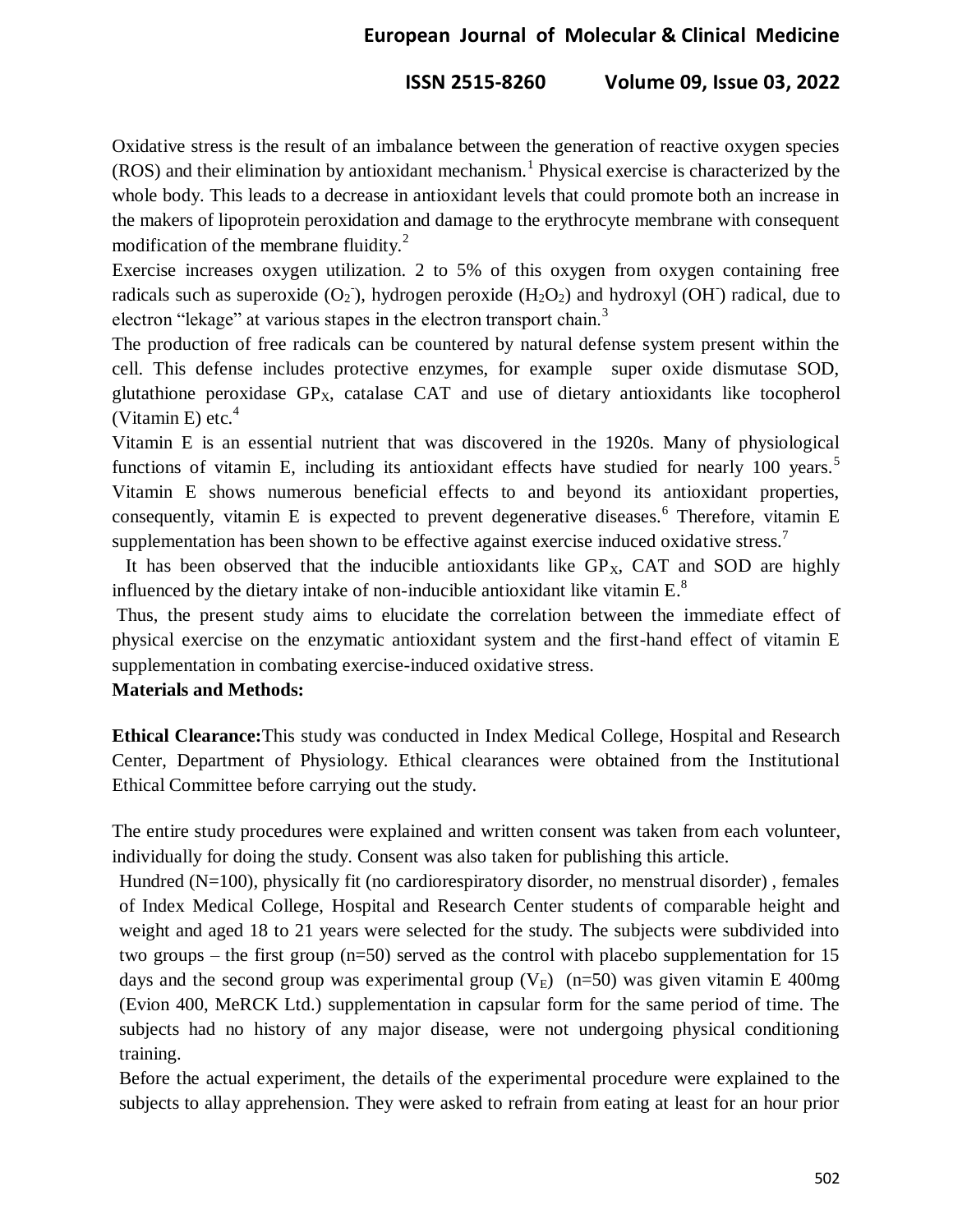# **European Journal of Molecular & Clinical Medicine**

#### **ISSN 2515-8260 Volume 09, Issue 03, 2022**

Oxidative stress is the result of an imbalance between the generation of reactive oxygen species (ROS) and their elimination by antioxidant mechanism.<sup>1</sup> Physical exercise is characterized by the whole body. This leads to a decrease in antioxidant levels that could promote both an increase in the makers of lipoprotein peroxidation and damage to the erythrocyte membrane with consequent modification of the membrane fluidity. $^{2}$ 

Exercise increases oxygen utilization. 2 to 5% of this oxygen from oxygen containing free radicals such as superoxide  $(O_2)$ , hydrogen peroxide  $(H_2O_2)$  and hydroxyl  $(OH)$  radical, due to electron "lekage" at various stapes in the electron transport chain.<sup>3</sup>

The production of free radicals can be countered by natural defense system present within the cell. This defense includes protective enzymes, for example super oxide dismutase SOD, glutathione peroxidase  $GP<sub>X</sub>$ , catalase  $CAT$  and use of dietary antioxidants like tocopherol (Vitamin E) etc. $4$ 

Vitamin E is an essential nutrient that was discovered in the 1920s. Many of physiological functions of vitamin E, including its antioxidant effects have studied for nearly 100 years.<sup>5</sup> Vitamin E shows numerous beneficial effects to and beyond its antioxidant properties, consequently, vitamin E is expected to prevent degenerative diseases.<sup>6</sup> Therefore, vitamin E supplementation has been shown to be effective against exercise induced oxidative stress.<sup>7</sup>

It has been observed that the inducible antioxidants like  $GP<sub>x</sub>$ , CAT and SOD are highly influenced by the dietary intake of non-inducible antioxidant like vitamin  $E^3$ .

Thus, the present study aims to elucidate the correlation between the immediate effect of physical exercise on the enzymatic antioxidant system and the first-hand effect of vitamin E supplementation in combating exercise-induced oxidative stress.

#### **Materials and Methods:**

**Ethical Clearance:**This study was conducted in Index Medical College, Hospital and Research Center, Department of Physiology. Ethical clearances were obtained from the Institutional Ethical Committee before carrying out the study.

The entire study procedures were explained and written consent was taken from each volunteer, individually for doing the study. Consent was also taken for publishing this article.

Hundred (N=100), physically fit (no cardiorespiratory disorder, no menstrual disorder) , females of Index Medical College, Hospital and Research Center students of comparable height and weight and aged 18 to 21 years were selected for the study. The subjects were subdivided into two groups – the first group (n=50) served as the control with placebo supplementation for 15 days and the second group was experimental group  $(V_E)$  (n=50) was given vitamin E 400mg (Evion 400, MeRCK Ltd.) supplementation in capsular form for the same period of time. The subjects had no history of any major disease, were not undergoing physical conditioning training.

Before the actual experiment, the details of the experimental procedure were explained to the subjects to allay apprehension. They were asked to refrain from eating at least for an hour prior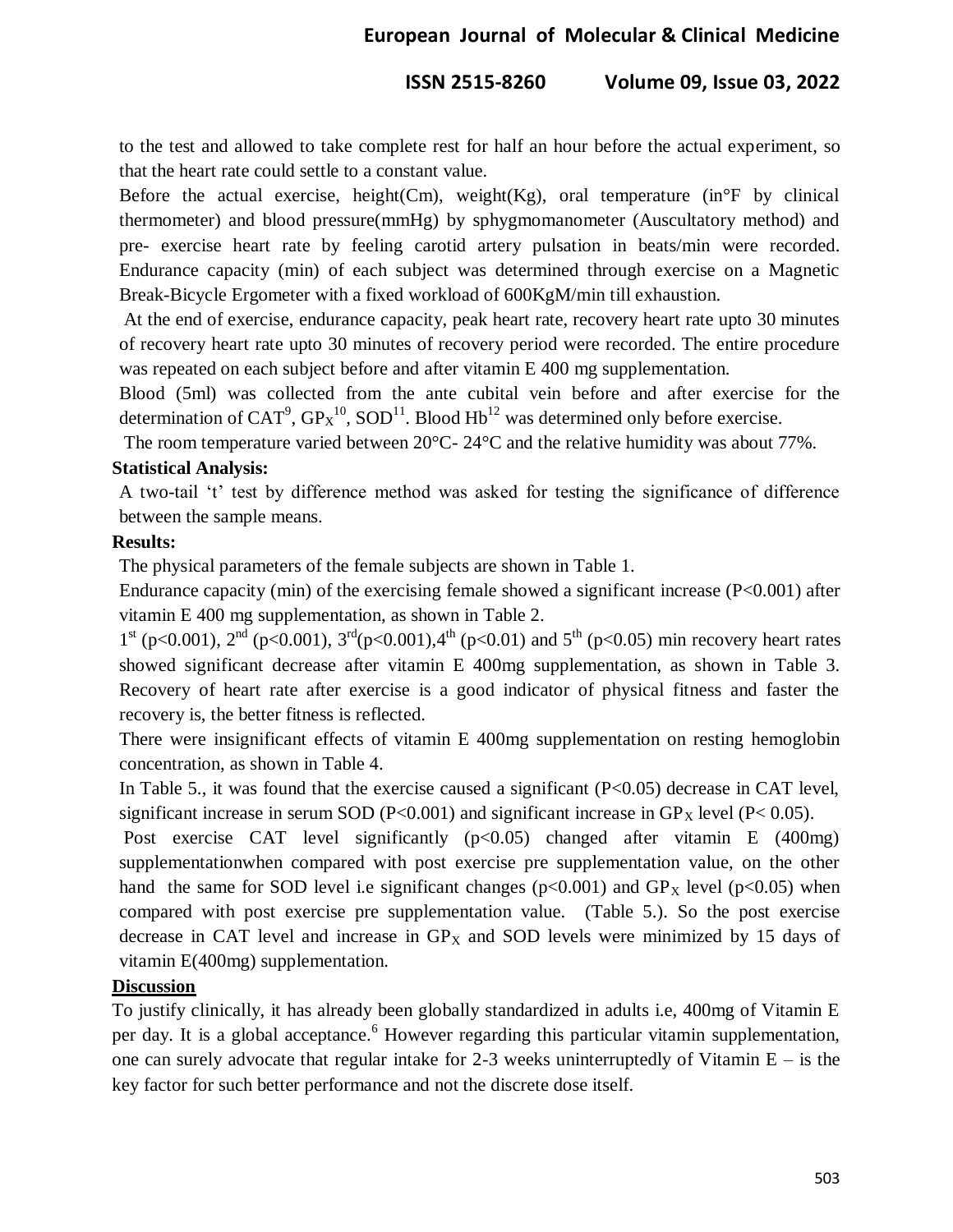to the test and allowed to take complete rest for half an hour before the actual experiment, so that the heart rate could settle to a constant value.

Before the actual exercise, height(Cm), weight(Kg), oral temperature (in $\mathrm{P}F$  by clinical thermometer) and blood pressure(mmHg) by sphygmomanometer (Auscultatory method) and pre- exercise heart rate by feeling carotid artery pulsation in beats/min were recorded. Endurance capacity (min) of each subject was determined through exercise on a Magnetic Break-Bicycle Ergometer with a fixed workload of 600KgM/min till exhaustion.

At the end of exercise, endurance capacity, peak heart rate, recovery heart rate upto 30 minutes of recovery heart rate upto 30 minutes of recovery period were recorded. The entire procedure was repeated on each subject before and after vitamin E 400 mg supplementation.

Blood (5ml) was collected from the ante cubital vein before and after exercise for the determination of CAT<sup>9</sup>,  $GP_X^{10}$ , SOD<sup>11</sup>. Blood Hb<sup>12</sup> was determined only before exercise.

The room temperature varied between 20°C- 24°C and the relative humidity was about 77%.

#### **Statistical Analysis:**

A two-tail "t" test by difference method was asked for testing the significance of difference between the sample means.

#### **Results:**

The physical parameters of the female subjects are shown in Table 1.

Endurance capacity (min) of the exercising female showed a significant increase  $(P<0.001)$  after vitamin E 400 mg supplementation, as shown in Table 2.

 $1<sup>st</sup>$  (p<0.001),  $2<sup>nd</sup>$  (p<0.001),  $3<sup>rd</sup>$ (p<0.001),  $4<sup>th</sup>$  (p<0.01) and  $5<sup>th</sup>$  (p<0.05) min recovery heart rates showed significant decrease after vitamin E 400mg supplementation, as shown in Table 3. Recovery of heart rate after exercise is a good indicator of physical fitness and faster the recovery is, the better fitness is reflected.

There were insignificant effects of vitamin E 400mg supplementation on resting hemoglobin concentration, as shown in Table 4.

In Table 5., it was found that the exercise caused a significant  $(P<0.05)$  decrease in CAT level, significant increase in serum SOD (P<0.001) and significant increase in  $GP<sub>X</sub>$  level (P<0.05).

Post exercise CAT level significantly  $(p<0.05)$  changed after vitamin E (400mg) supplementationwhen compared with post exercise pre supplementation value, on the other hand the same for SOD level i.e significant changes ( $p<0.001$ ) and  $GP<sub>X</sub>$  level ( $p<0.05$ ) when compared with post exercise pre supplementation value. (Table 5.). So the post exercise decrease in CAT level and increase in  $GP<sub>X</sub>$  and SOD levels were minimized by 15 days of vitamin E(400mg) supplementation.

# **Discussion**

To justify clinically, it has already been globally standardized in adults i.e, 400mg of Vitamin E per day. It is a global acceptance.<sup>6</sup> However regarding this particular vitamin supplementation, one can surely advocate that regular intake for 2-3 weeks uninterruptedly of Vitamin  $E - i$ s the key factor for such better performance and not the discrete dose itself.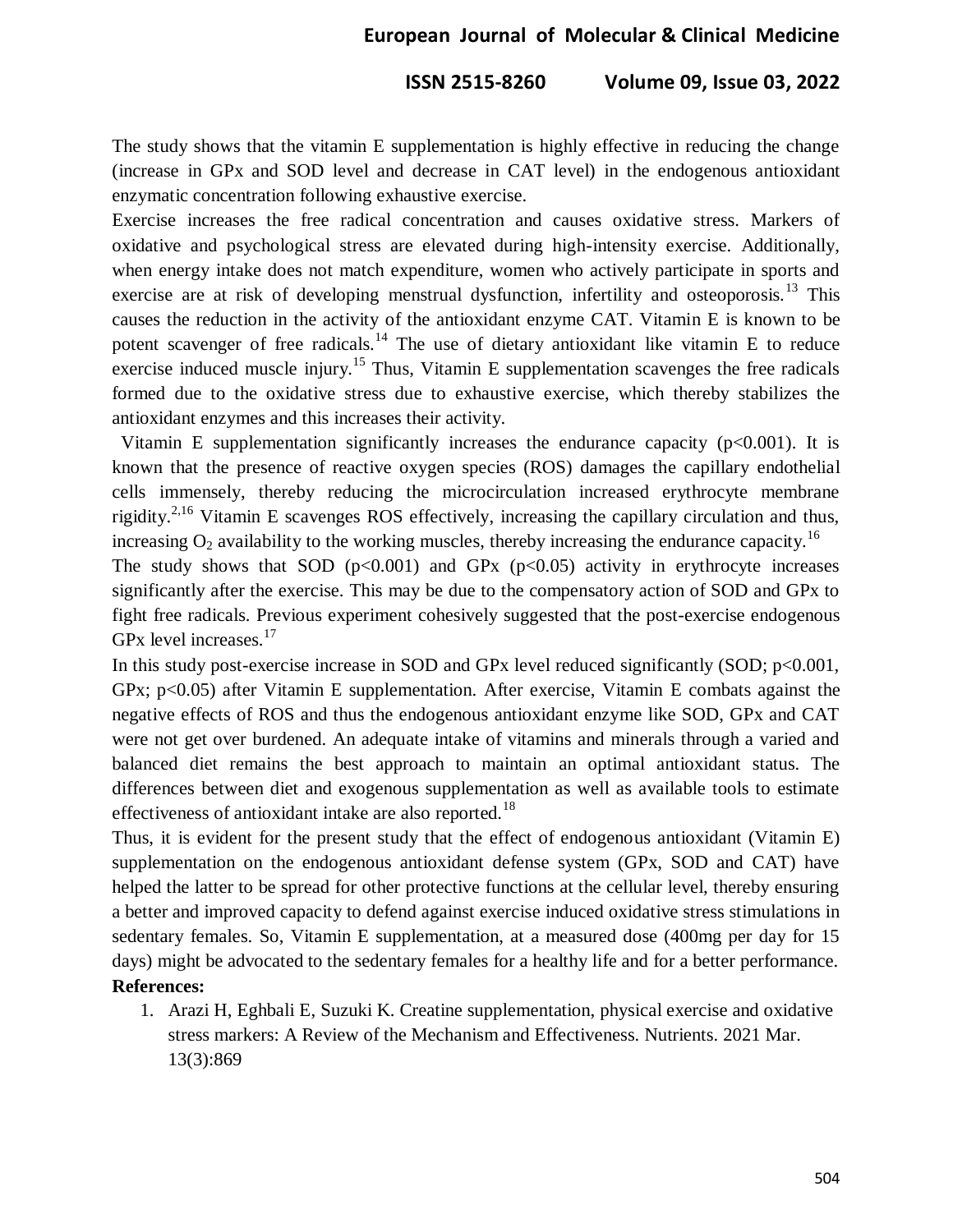# **European Journal of Molecular & Clinical Medicine**

#### **ISSN 2515-8260 Volume 09, Issue 03, 2022**

The study shows that the vitamin E supplementation is highly effective in reducing the change (increase in GPx and SOD level and decrease in CAT level) in the endogenous antioxidant enzymatic concentration following exhaustive exercise.

Exercise increases the free radical concentration and causes oxidative stress. Markers of oxidative and psychological stress are elevated during high-intensity exercise. Additionally, when energy intake does not match expenditure, women who actively participate in sports and exercise are at risk of developing menstrual dysfunction, infertility and osteoporosis.<sup>13</sup> This causes the reduction in the activity of the antioxidant enzyme CAT. Vitamin E is known to be potent scavenger of free radicals.<sup>14</sup> The use of dietary antioxidant like vitamin E to reduce exercise induced muscle injury.<sup>15</sup> Thus, Vitamin E supplementation scavenges the free radicals formed due to the oxidative stress due to exhaustive exercise, which thereby stabilizes the antioxidant enzymes and this increases their activity.

Vitamin E supplementation significantly increases the endurance capacity ( $p<0.001$ ). It is known that the presence of reactive oxygen species (ROS) damages the capillary endothelial cells immensely, thereby reducing the microcirculation increased erythrocyte membrane rigidity.<sup>2,16</sup> Vitamin E scavenges ROS effectively, increasing the capillary circulation and thus, increasing  $O_2$  availability to the working muscles, thereby increasing the endurance capacity.<sup>16</sup>

The study shows that SOD  $(p<0.001)$  and GPx  $(p<0.05)$  activity in erythrocyte increases significantly after the exercise. This may be due to the compensatory action of SOD and GPx to fight free radicals. Previous experiment cohesively suggested that the post-exercise endogenous GPx level increases. $17$ 

In this study post-exercise increase in SOD and GPx level reduced significantly  $(SOD; p<0.001$ , GPx; p<0.05) after Vitamin E supplementation. After exercise, Vitamin E combats against the negative effects of ROS and thus the endogenous antioxidant enzyme like SOD, GPx and CAT were not get over burdened. An adequate intake of vitamins and minerals through a varied and balanced diet remains the best approach to maintain an optimal antioxidant status. The differences between diet and exogenous supplementation as well as available tools to estimate effectiveness of antioxidant intake are also reported.<sup>18</sup>

Thus, it is evident for the present study that the effect of endogenous antioxidant (Vitamin E) supplementation on the endogenous antioxidant defense system (GPx, SOD and CAT) have helped the latter to be spread for other protective functions at the cellular level, thereby ensuring a better and improved capacity to defend against exercise induced oxidative stress stimulations in sedentary females. So, Vitamin E supplementation, at a measured dose (400mg per day for 15 days) might be advocated to the sedentary females for a healthy life and for a better performance. **References:**

1. Arazi H, Eghbali E, Suzuki K. Creatine supplementation, physical exercise and oxidative stress markers: A Review of the Mechanism and Effectiveness. Nutrients. 2021 Mar. 13(3):869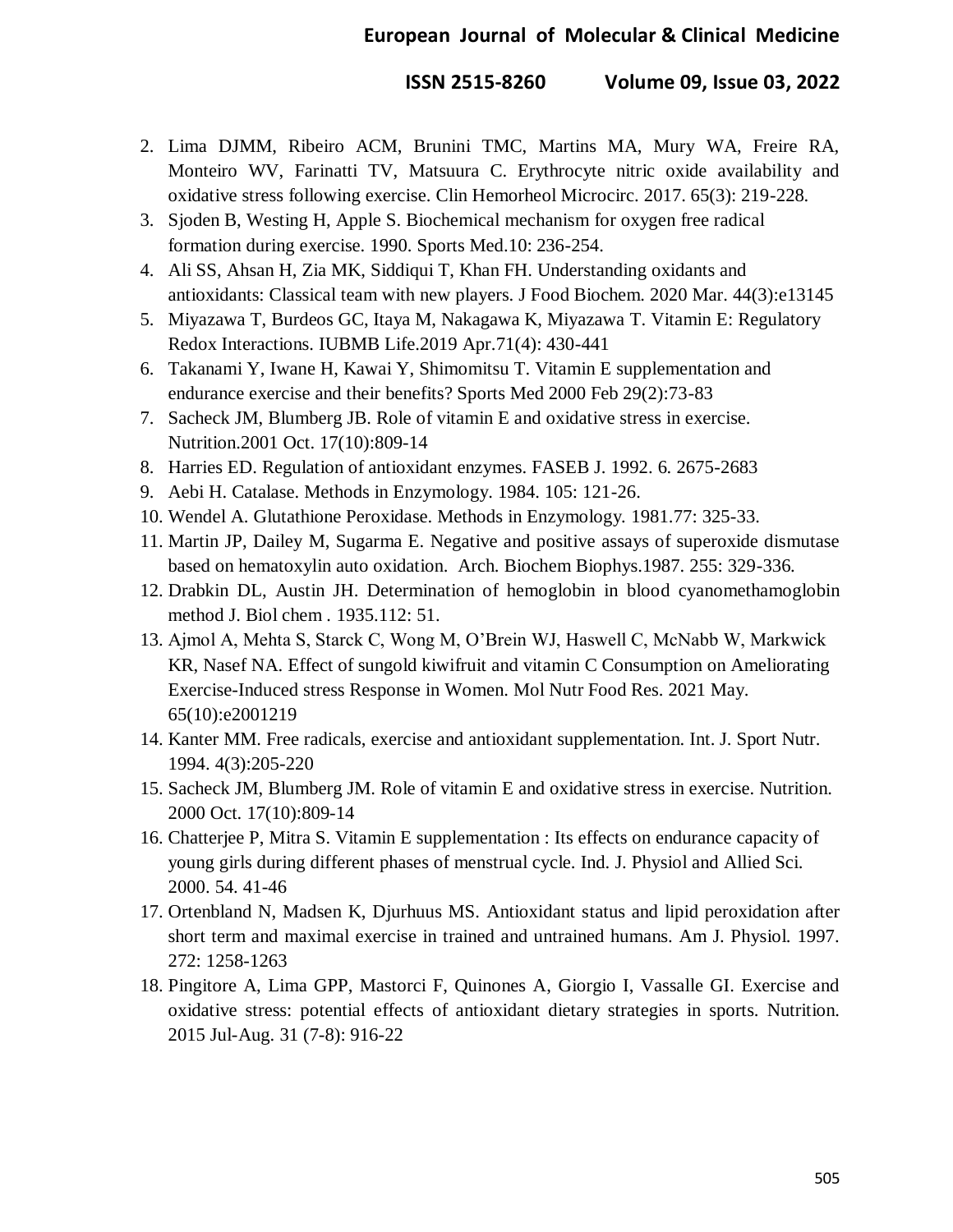- 2. Lima DJMM, Ribeiro ACM, Brunini TMC, Martins MA, Mury WA, Freire RA, Monteiro WV, Farinatti TV, Matsuura C. Erythrocyte nitric oxide availability and oxidative stress following exercise. Clin Hemorheol Microcirc. 2017. 65(3): 219-228.
- 3. Sjoden B, Westing H, Apple S. Biochemical mechanism for oxygen free radical formation during exercise. 1990. Sports Med.10: 236-254.
- 4. Ali SS, Ahsan H, Zia MK, Siddiqui T, Khan FH. Understanding oxidants and antioxidants: Classical team with new players. J Food Biochem. 2020 Mar. 44(3):e13145
- 5. Miyazawa T, Burdeos GC, Itaya M, Nakagawa K, Miyazawa T. Vitamin E: Regulatory Redox Interactions. IUBMB Life.2019 Apr.71(4): 430-441
- 6. Takanami Y, Iwane H, Kawai Y, Shimomitsu T. Vitamin E supplementation and endurance exercise and their benefits? Sports Med 2000 Feb 29(2):73-83
- 7. Sacheck JM, Blumberg JB. Role of vitamin E and oxidative stress in exercise. Nutrition.2001 Oct. 17(10):809-14
- 8. Harries ED. Regulation of antioxidant enzymes. FASEB J. 1992. 6. 2675-2683
- 9. Aebi H. Catalase. Methods in Enzymology. 1984. 105: 121-26.
- 10. Wendel A. Glutathione Peroxidase. Methods in Enzymology*.* 1981.77: 325-33.
- 11. Martin JP, Dailey M, Sugarma E. Negative and positive assays of superoxide dismutase based on hematoxylin auto oxidation. Arch. Biochem Biophys.1987. 255: 329-336.
- 12. Drabkin DL, Austin JH. Determination of hemoglobin in blood cyanomethamoglobin method J. Biol chem *.* 1935.112: 51.
- 13. Ajmol A, Mehta S, Starck C, Wong M, O"Brein WJ, Haswell C, McNabb W, Markwick KR, Nasef NA. Effect of sungold kiwifruit and vitamin C Consumption on Ameliorating Exercise-Induced stress Response in Women. Mol Nutr Food Res. 2021 May. 65(10):e2001219
- 14. Kanter MM. Free radicals, exercise and antioxidant supplementation. Int. J. Sport Nutr. 1994. 4(3):205-220
- 15. Sacheck JM, Blumberg JM. Role of vitamin E and oxidative stress in exercise. Nutrition. 2000 Oct. 17(10):809-14
- 16. Chatterjee P, Mitra S. Vitamin E supplementation : Its effects on endurance capacity of young girls during different phases of menstrual cycle. Ind. J. Physiol and Allied Sci. 2000. 54. 41-46
- 17. Ortenbland N, Madsen K, Djurhuus MS. Antioxidant status and lipid peroxidation after short term and maximal exercise in trained and untrained humans. Am J. Physiol. 1997. 272: 1258-1263
- 18. Pingitore A, Lima GPP, Mastorci F, Quinones A, Giorgio I, Vassalle GI. Exercise and oxidative stress: potential effects of antioxidant dietary strategies in sports. Nutrition. 2015 Jul-Aug. 31 (7-8): 916-22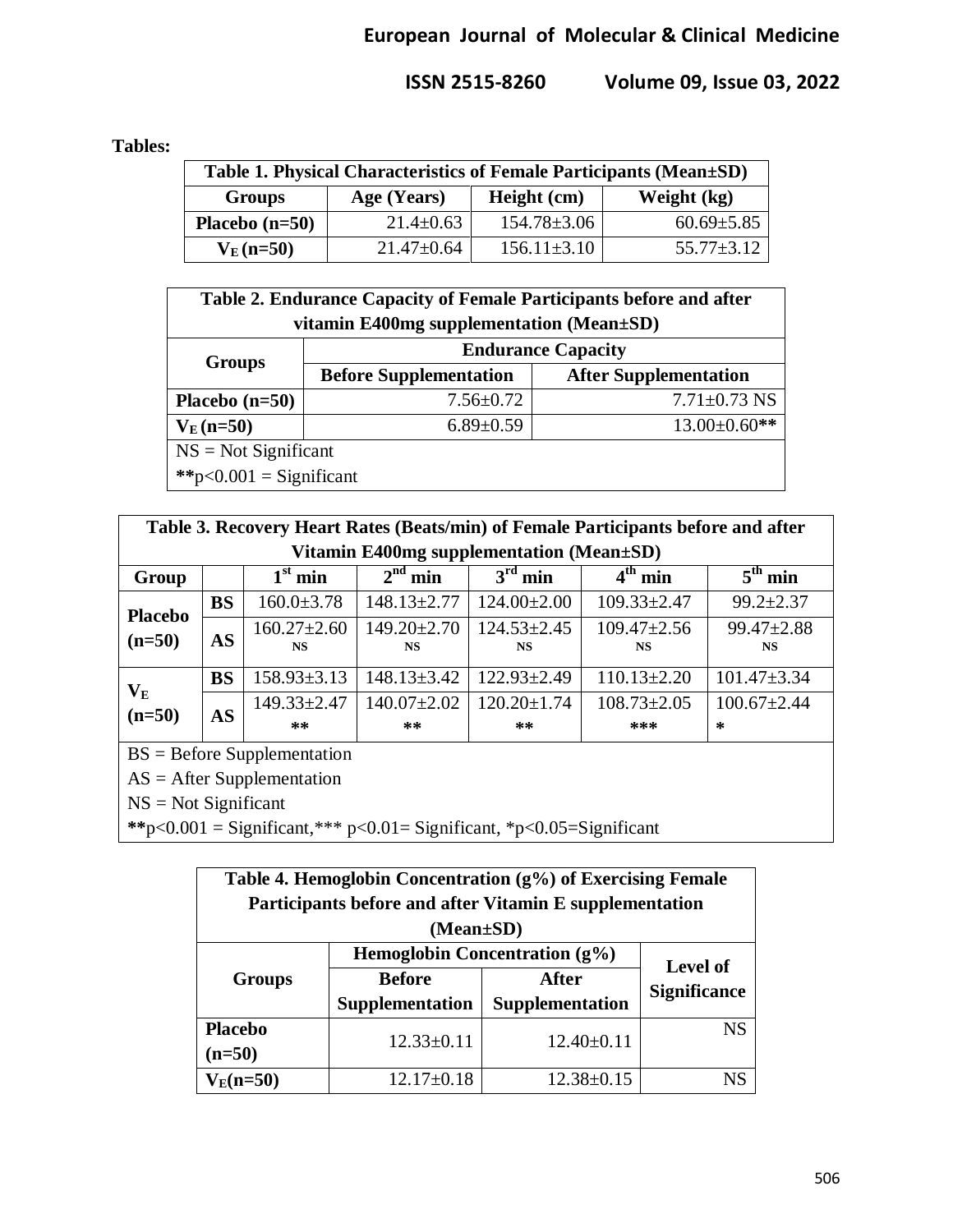### **Tables:**

| Table 1. Physical Characteristics of Female Participants (Mean±SD) |                  |                   |                  |  |  |
|--------------------------------------------------------------------|------------------|-------------------|------------------|--|--|
| <b>Groups</b>                                                      | Age (Years)      | Height (cm)       | Weight (kg)      |  |  |
| Placebo $(n=50)$                                                   | $21.4 \pm 0.63$  | $154.78 \pm 3.06$ | $60.69 \pm 5.85$ |  |  |
| $V_{E}$ (n=50)                                                     | $21.47 \pm 0.64$ | $156.11 \pm 3.10$ | $55.77 \pm 3.12$ |  |  |

| Table 2. Endurance Capacity of Female Participants before and after<br>vitamin E400mg supplementation (Mean±SD) |                               |                              |  |  |  |  |
|-----------------------------------------------------------------------------------------------------------------|-------------------------------|------------------------------|--|--|--|--|
| <b>Groups</b>                                                                                                   | <b>Endurance Capacity</b>     |                              |  |  |  |  |
|                                                                                                                 | <b>Before Supplementation</b> | <b>After Supplementation</b> |  |  |  |  |
| Placebo $(n=50)$                                                                                                | $7.56 \pm 0.72$               | $7.71 \pm 0.73$ NS           |  |  |  |  |
| $V_{E}$ (n=50)                                                                                                  | $6.89 \pm 0.59$               | $13.00 \pm 0.60$ **          |  |  |  |  |
| $NS = Not$ Significant                                                                                          |                               |                              |  |  |  |  |
| **p< $0.001$ = Significant                                                                                      |                               |                              |  |  |  |  |

| Table 3. Recovery Heart Rates (Beats/min) of Female Participants before and after |           |                                |                                |                                |                                |                               |  |
|-----------------------------------------------------------------------------------|-----------|--------------------------------|--------------------------------|--------------------------------|--------------------------------|-------------------------------|--|
| Vitamin E400mg supplementation (Mean±SD)                                          |           |                                |                                |                                |                                |                               |  |
| Group                                                                             |           | $1st$ min                      | $2^{\overline{\text{nd}}}$ min | $3rd$ min                      | $\overline{4^{th}}$ min        | $5th$ min                     |  |
| <b>Placebo</b><br>$(n=50)$                                                        | <b>BS</b> | $160.0 \pm 3.78$               | $148.13 \pm 2.77$              | $124.00 \pm 2.00$              | $109.33 \pm 2.47$              | $99.2 \pm 2.37$               |  |
|                                                                                   | <b>AS</b> | $160.27 \pm 2.60$<br><b>NS</b> | $149.20 \pm 2.70$<br><b>NS</b> | $124.53 \pm 2.45$<br><b>NS</b> | $109.47 \pm 2.56$<br><b>NS</b> | $99.47 \pm 2.88$<br><b>NS</b> |  |
| $\mathbf{V_{E}}$<br>$(n=50)$                                                      | <b>BS</b> | $158.93 \pm 3.13$              | $148.13 \pm 3.42$              | $122.93 \pm 2.49$              | $110.13 \pm 2.20$              | $101.47 \pm 3.34$             |  |
|                                                                                   | <b>AS</b> | $149.33 \pm 2.47$<br>**        | $140.07 \pm 2.02$<br>$***$     | $120.20 \pm 1.74$<br>$**$      | $108.73 \pm 2.05$<br>$***$     | $100.67 \pm 2.44$<br>$\ast$   |  |

BS = Before Supplementation

AS = After Supplementation

NS = Not Significant

**\*\***p<0.001 = Significant,\*\*\* p<0.01= Significant, \*p<0.05=Significant

| Table 4. Hemoglobin Concentration (g%) of Exercising Female |                                  |                  |                     |  |  |  |
|-------------------------------------------------------------|----------------------------------|------------------|---------------------|--|--|--|
| Participants before and after Vitamin E supplementation     |                                  |                  |                     |  |  |  |
| (Mean±SD)                                                   |                                  |                  |                     |  |  |  |
|                                                             | Hemoglobin Concentration $(g\%)$ | <b>Level of</b>  |                     |  |  |  |
| <b>Groups</b>                                               | <b>Before</b>                    | <b>After</b>     | <b>Significance</b> |  |  |  |
|                                                             | <b>Supplementation</b>           | Supplementation  |                     |  |  |  |
| <b>Placebo</b>                                              | $12.33 \pm 0.11$                 | $12.40 \pm 0.11$ | <b>NS</b>           |  |  |  |
| $(n=50)$                                                    |                                  |                  |                     |  |  |  |
| $V_E(n=50)$                                                 | $12.17 \pm 0.18$                 | $12.38 \pm 0.15$ |                     |  |  |  |